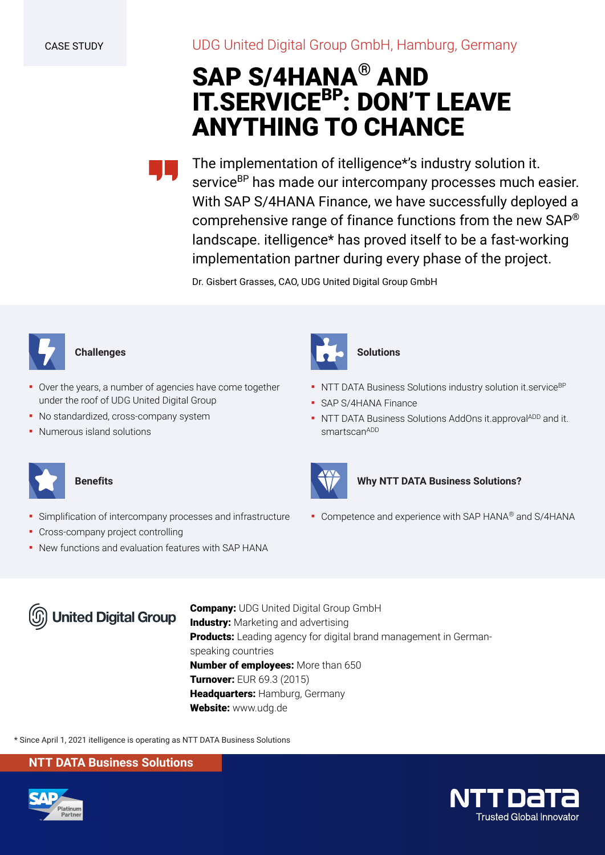UDG United Digital Group GmbH, Hamburg, Germany

# **SAP S/4HANA® AND IT.SERVICEBP: DON'T LEAVE ANYTHING TO CHANCE**

The implementation of itelligence\*'s industry solution it. service<sup>BP</sup> has made our intercompany processes much easier. With SAP S/4HANA Finance, we have successfully deployed a comprehensive range of finance functions from the new SAP® landscape. itelligence\* has proved itself to be a fast-working implementation partner during every phase of the project.

Dr. Gisbert Grasses, CAO, UDG United Digital Group GmbH



# **Challenges**

Over the years, a number of agencies have come together under the roof of UDG United Digital Group

**·** Simplification of intercompany processes and infrastructure

▪ New functions and evaluation features with SAP HANA

- No standardized, cross-company system
- Numerous island solutions

**Benefits**



# **Solutions**

- **NTT DATA Business Solutions industry solution it.service**<sup>BP</sup>
- **SAP S/4HANA Finance**
- **NTT DATA Business Solutions AddOns it.approvalADD and it.** smartscanADD



## **Why NTT DATA Business Solutions?**

■ Competence and experience with SAP HANA® and S/4HANA



**• Cross-company project controlling** 

**Company:** UDG United Digital Group GmbH **Industry:** Marketing and advertising **Products:** Leading agency for digital brand management in Germanspeaking countries **Number of employees:** More than 650 **Turnover:** EUR 69.3 (2015) **Headquarters:** Hamburg, Germany **Website:** www.udg.de

\* Since April 1, 2021 itelligence is operating as NTT DATA Business Solutions

# **NTT DATA Business Solutions**